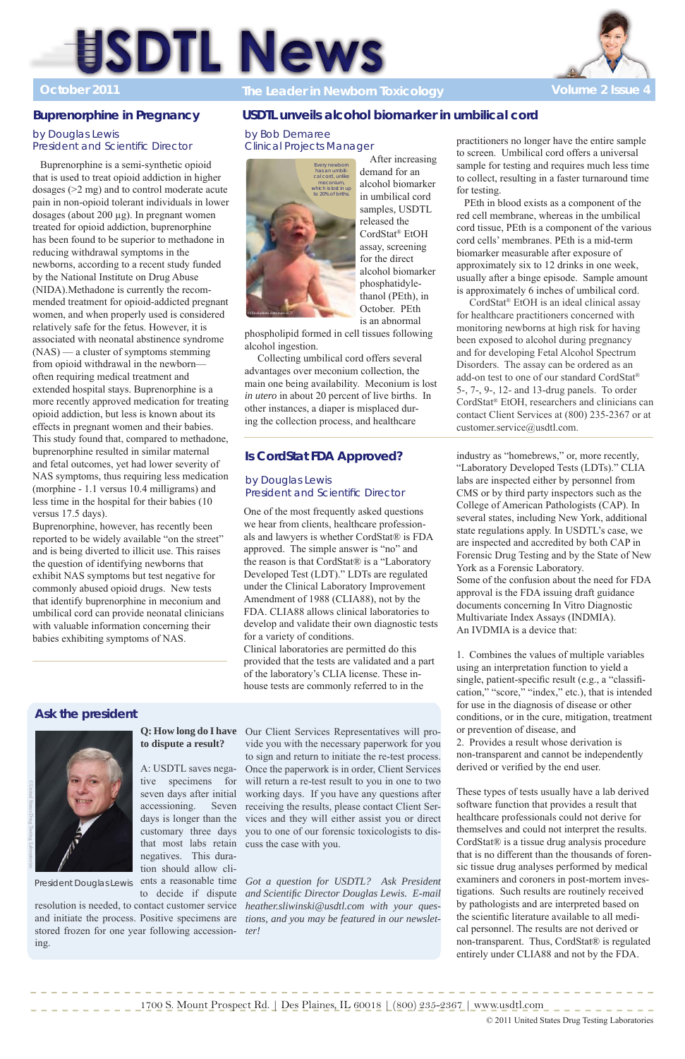#### **October 2011 Volume 2 Issue 4 The Leader in Newborn Toxicology**

© 2011 United States Drug Testing Laboratories

*by Bob Demaree* Clinical Projects Manager

 After increasing demand for an alcohol biomarker in umbilical cord samples, USDTL released the CordStat® EtOH assay, screening for the direct alcohol biomarker phosphatidylethanol (PEth), in October. PEth is an abnormal

#### by Douglas Lewis President and Scientific Director

phospholipid formed in cell tissues following alcohol ingestion.

 Collecting umbilical cord offers several advantages over meconium collection, the main one being availability. Meconium is lost *in utero* in about 20 percent of live births. In other instances, a diaper is misplaced during the collection process, and healthcare



# **USDTL News**

#### **Buprenorphine in Pregnancy**

Buprenorphine is a semi-synthetic opioid that is used to treat opioid addiction in higher dosages (>2 mg) and to control moderate acute pain in non-opioid tolerant individuals in lower dosages (about 200 μg). In pregnant women treated for opioid addiction, buprenorphine has been found to be superior to methadone in reducing withdrawal symptoms in the newborns, according to a recent study funded by the National Institute on Drug Abuse (NIDA).Methadone is currently the recommended treatment for opioid-addicted pregnant women, and when properly used is considered relatively safe for the fetus. However, it is associated with neonatal abstinence syndrome (NAS) — a cluster of symptoms stemming from opioid withdrawal in the newborn often requiring medical treatment and extended hospital stays. Buprenorphine is a more recently approved medication for treating opioid addiction, but less is known about its effects in pregnant women and their babies. This study found that, compared to methadone, buprenorphine resulted in similar maternal and fetal outcomes, yet had lower severity of NAS symptoms, thus requiring less medication (morphine - 1.1 versus 10.4 milligrams) and less time in the hospital for their babies (10 versus 17.5 days).

#### by Douglas Lewis President and Scientific Director

Buprenorphine, however, has recently been reported to be widely available "on the street" and is being diverted to illicit use. This raises the question of identifying newborns that exhibit NAS symptoms but test negative for commonly abused opioid drugs. New tests that identify buprenorphine in meconium and umbilical cord can provide neonatal clinicians with valuable information concerning their babies exhibiting symptoms of NAS.

One of the most frequently asked questions we hear from clients, healthcare professionals and lawyers is whether CordStat® is FDA approved. The simple answer is "no" and the reason is that CordStat® is a "Laboratory Developed Test (LDT)." LDTs are regulated under the Clinical Laboratory Improvement Amendment of 1988 (CLIA88), not by the FDA. CLIA88 allows clinical laboratories to develop and validate their own diagnostic tests for a variety of conditions. Clinical laboratories are permitted do this provided that the tests are validated and a part of the laboratory's CLIA license. These in-

> 2. Provides a result whose derivation is non-transparent and cannot be independently derived or verified by the end user.

house tests are commonly referred to in the

**to dispute a result?**

tion should allow cli-

**Q: How long do I have**  Our Client Services Representatives will provide you with the necessary paperwork for you to sign and return to initiate the re-test process.



to decide if dispute resolution is needed, to contact customer service and initiate the process. Positive specimens are stored frozen for one year following accession-*ter!* ing.

#### **Ask the president**



©United States Drug Testing Laboratories

A: USDTL saves negative specimens for seven days after initial accessioning. days is longer than the customary three days that most labs retain negatives. This dura-Once the paperwork is in order, Client Services will return a re-test result to you in one to two working days. If you have any questions after Seven receiving the results, please contact Client Services and they will either assist you or direct you to one of our forensic toxicologists to discuss the case with you.

President Douglas Lewis

ents a reasonable time *Got a question for USDTL? Ask President and Scientifi c Director Douglas Lewis. E-mail heather.sliwinski@usdtl.com with your questions, and you may be featured in our newslet-*

#### **USDTL unveils alcohol biomarker in umbilical cord**

### **Is CordStat FDA Approved?**

practitioners no longer have the entire sample to screen. Umbilical cord offers a universal sample for testing and requires much less time to collect, resulting in a faster turnaround time for testing.

 PEth in blood exists as a component of the red cell membrane, whereas in the umbilical cord tissue, PEth is a component of the various cord cells' membranes. PEth is a mid-term biomarker measurable after exposure of approximately six to 12 drinks in one week, usually after a binge episode. Sample amount is approximately 6 inches of umbilical cord.

 CordStat® EtOH is an ideal clinical assay for healthcare practitioners concerned with monitoring newborns at high risk for having been exposed to alcohol during pregnancy and for developing Fetal Alcohol Spectrum Disorders. The assay can be ordered as an add-on test to one of our standard CordStat® 5-, 7-, 9-, 12- and 13-drug panels. To order CordStat® EtOH, researchers and clinicians can contact Client Services at (800) 235-2367 or at customer.service@usdtl.com.

industry as "homebrews," or, more recently, "Laboratory Developed Tests (LDTs)." CLIA labs are inspected either by personnel from CMS or by third party inspectors such as the College of American Pathologists (CAP). In several states, including New York, additional state regulations apply. In USDTL's case, we are inspected and accredited by both CAP in Forensic Drug Testing and by the State of New York as a Forensic Laboratory. Some of the confusion about the need for FDA approval is the FDA issuing draft guidance documents concerning In Vitro Diagnostic Multivariate Index Assays (INDMIA). An IVDMIA is a device that:

1. Combines the values of multiple variables using an interpretation function to yield a single, patient-specific result (e.g., a "classification," "score," "index," etc.), that is intended for use in the diagnosis of disease or other conditions, or in the cure, mitigation, treatment or prevention of disease, and

These types of tests usually have a lab derived software function that provides a result that healthcare professionals could not derive for themselves and could not interpret the results. CordStat® is a tissue drug analysis procedure that is no different than the thousands of forensic tissue drug analyses performed by medical examiners and coroners in post-mortem investigations. Such results are routinely received by pathologists and are interpreted based on the scientific literature available to all medical personnel. The results are not derived or non-transparent. Thus, CordStat® is regulated entirely under CLIA88 and not by the FDA.

1700 S. Mount Prospect Rd. | Des Plaines, IL 60018 | (800) 235-2367 | www.usdtl.com \_ \_ \_ \_ \_ \_ \_ \_ \_ \_ \_